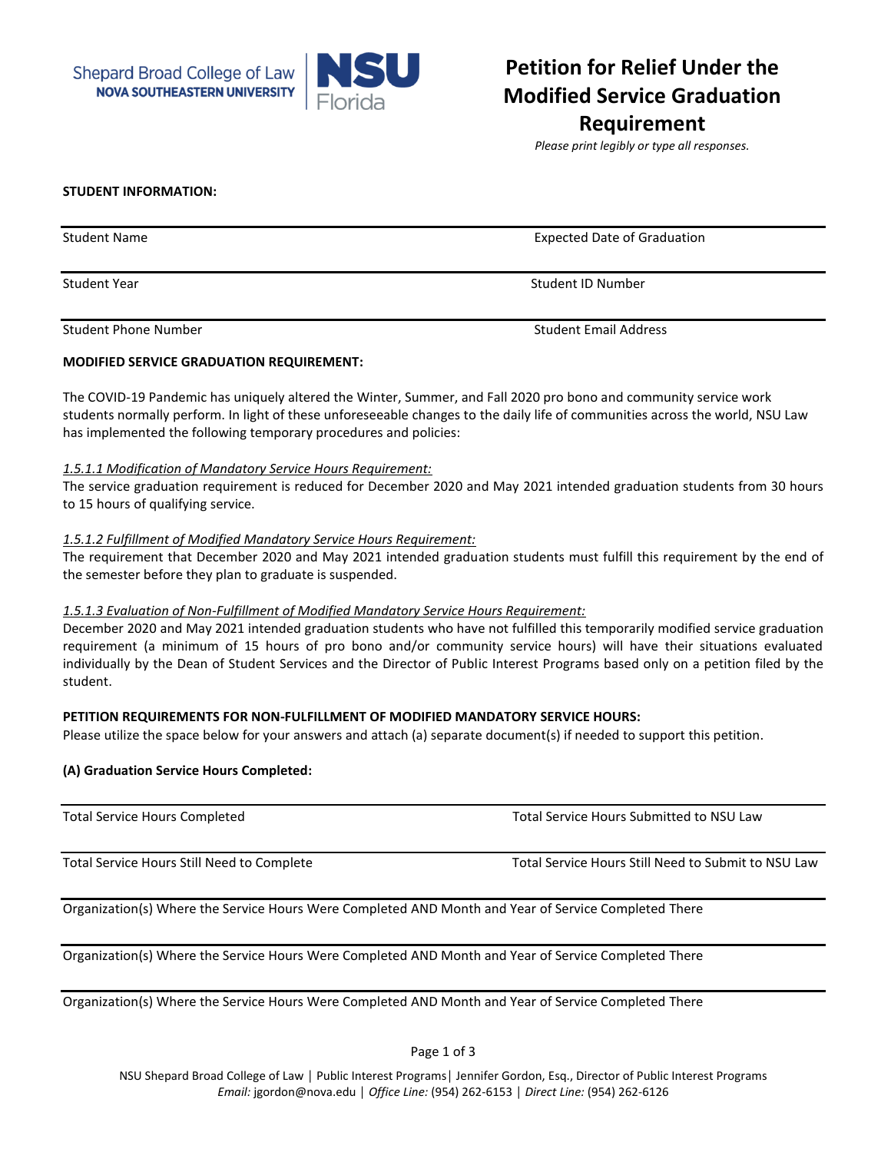



# **Petition for Relief Under the Modified Service Graduation Requirement**

*Please print legibly or type all responses.* 

#### **STUDENT INFORMATION:**

Student Name Expected Date of Graduation Student Year Student ID Number Student ID Number Student Phone Number Student Email Address

## **MODIFIED SERVICE GRADUATION REQUIREMENT:**

The COVID-19 Pandemic has uniquely altered the Winter, Summer, and Fall 2020 pro bono and community service work students normally perform. In light of these unforeseeable changes to the daily life of communities across the world, NSU Law has implemented the following temporary procedures and policies:

#### *1.5.1.1 Modification of Mandatory Service Hours Requirement:*

The service graduation requirement is reduced for December 2020 and May 2021 intended graduation students from 30 hours to 15 hours of qualifying service.

## *1.5.1.2 Fulfillment of Modified Mandatory Service Hours Requirement:*

The requirement that December 2020 and May 2021 intended graduation students must fulfill this requirement by the end of the semester before they plan to graduate is suspended.

#### *1.5.1.3 Evaluation of Non-Fulfillment of Modified Mandatory Service Hours Requirement:*

December 2020 and May 2021 intended graduation students who have not fulfilled this temporarily modified service graduation requirement (a minimum of 15 hours of pro bono and/or community service hours) will have their situations evaluated individually by the Dean of Student Services and the Director of Public Interest Programs based only on a petition filed by the student.

# **PETITION REQUIREMENTS FOR NON-FULFILLMENT OF MODIFIED MANDATORY SERVICE HOURS:**

Please utilize the space below for your answers and attach (a) separate document(s) if needed to support this petition.

# **(A) Graduation Service Hours Completed:**

| <b>Total Service Hours Completed</b>                                                                 | Total Service Hours Submitted to NSU Law            |
|------------------------------------------------------------------------------------------------------|-----------------------------------------------------|
| Total Service Hours Still Need to Complete                                                           | Total Service Hours Still Need to Submit to NSU Law |
| Organization(s) Where the Service Hours Were Completed AND Month and Year of Service Completed There |                                                     |

Organization(s) Where the Service Hours Were Completed AND Month and Year of Service Completed There

Organization(s) Where the Service Hours Were Completed AND Month and Year of Service Completed There

Page 1 of 3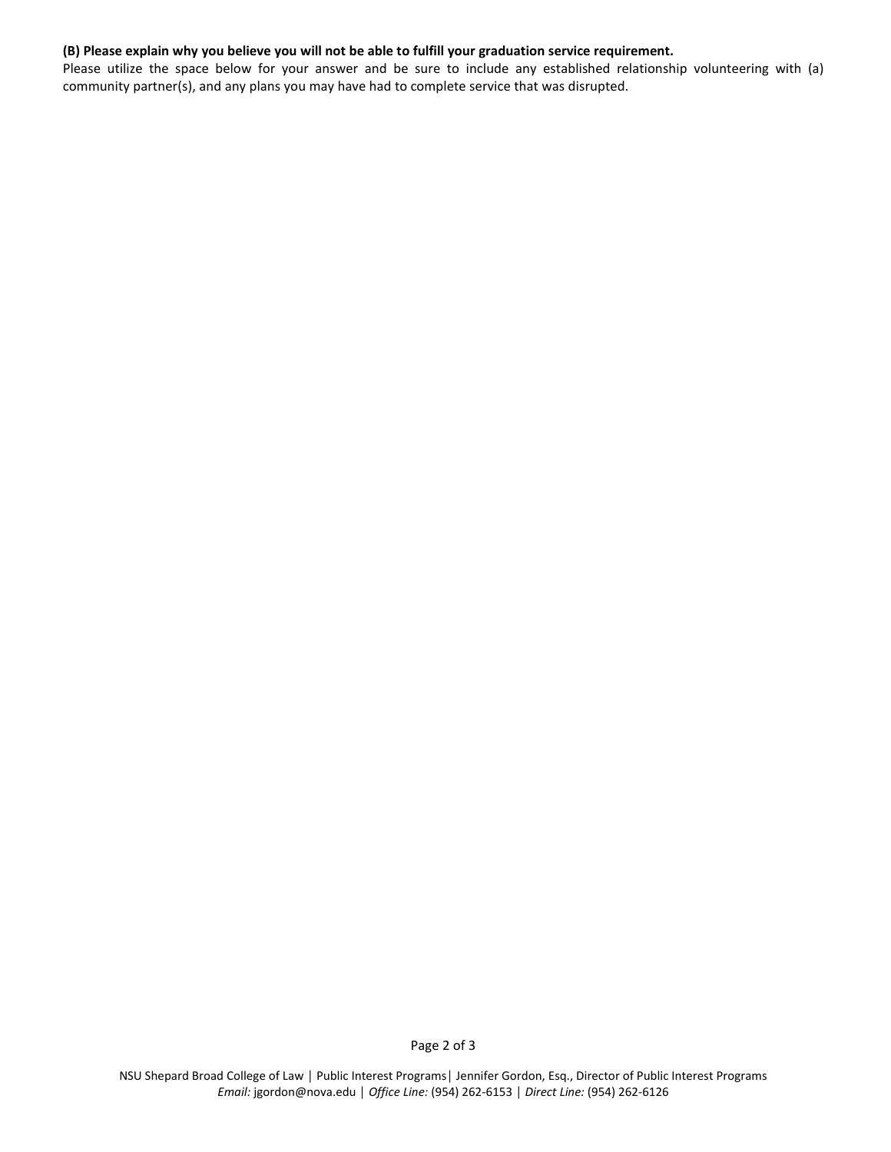## **(B) Please explain why you believe you will not be able to fulfill your graduation service requirement.**

Please utilize the space below for your answer and be sure to include any established relationship volunteering with (a) community partner(s), and any plans you may have had to complete service that was disrupted.

NSU Shepard Broad College of Law │ Public Interest Programs│ Jennifer Gordon, Esq., Director of Public Interest Programs *Email:* jgordon@nova.edu │ *Office Line:* (954) 262-6153 │ *Direct Line:* (954) 262-6126